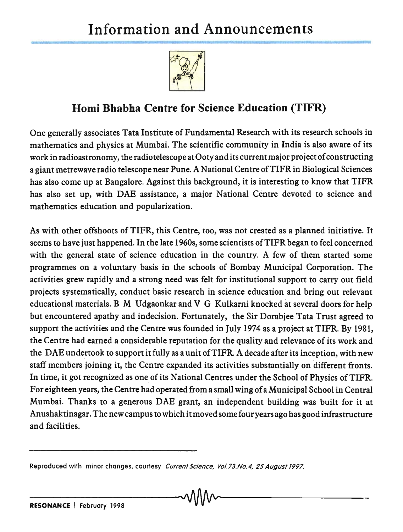

## **Homi Bhabha Centre for Science Education (TIFR)**

One generally associates Tata Institute of Fundamental Research with its research schools in mathematics and physics at Mumbai. The scientific community in India is also aware of its work in radioastronomy, the radiotelescope at Ooty and its current major project of constructing a giant metrewave radio telescope near Pune. A National Centre ofTIFR in Biological Sciences has also come up at Bangalore. Against this background, it is interesting to know that TIFR has also set up, with DAE assistance, a major National Centre devoted to science and mathematics education and popularization.

As with other offshoots of TIFR, this Centre, too, was not created as a planned initiative. It seems to have just happened. In the late 1960s, some scientists of TIFR began to feel concerned with the general state of science education in the country. A few of them started some programmes on a voluntary basis in the schools of Bombay Municipal Corporation. The activities grew rapidly and a strong need was felt for institutional support to carry out field projects systematically, conduct basic research in science education and bring out relevant educational materials. B M Udgaonkar and V G Kulkarni knocked at several doors for help but encountered apathy and indecision. Fortunately, the Sir Dorabjee Tata Trust agreed to support the activities and the Centre was founded in July 1974 as a project at TIFR. By 1981, the Centre had earned a considerable reputation for the quality and relevance of its work and the DAE undertook to support it fully as a unit of TIFR. A decade after its inception, with new staff members joining it, the Centre expanded its activities substantially on different fronts. In time, it got recognized as one of its National Centres under the School of Physics of TIFR. For eighteen years, the Centre had operated from a small wing of a Municipal School in Central Mumbai. Thanks to a generous DAE grant, an independent building was built for it at Anushaktinagar. The new campus to which it moved some four years ago has good infrastructure and facilities.

Reproduced with minor changes, courtesy Current Science, Vol.73.No.4, 25 August 1997.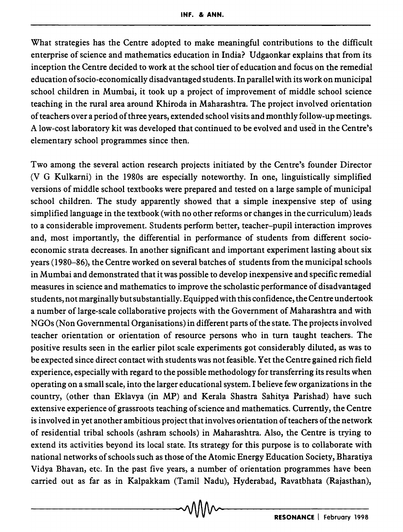What strategies has the Centre adopted to make meaningful contributions to the difficult enterprise of science and mathematics education in India? Udgaonkar explains that from its inception the Centre decided to work at the school tier of education and focus on the remedial education of socio-economically disadvantaged students. In parallel with its work on municipal school children in Mumbai, it took up a project of improvement of middle school science teaching in the rural area around Khiroda in Maharashtra. The project involved orientation of teachers over a period of three years, extended school visits and monthly follow-up meetings. A low-cost laboratory kit was developed that continued to be evolved and used in the Centre's elementary school programmes since then.

Two among the several action research projects initiated by the Centre's founder Director (V G Kulkarni) in the 1980s are especially noteworthy. In one, linguistically simplified versions of middle school textbooks were prepared and tested on a large sample of municipal school children. The study apparently showed that a simple inexpensive step of using simplified language in the textbook (with no other reforms or changes in the curriculum) leads to a considerable improvement. Students perform better, teacher-pupil interaction improves and, most importantly, the differential in performance of students from different socioeconomic strata decreases. In another significant and important experiment lasting about six years (1980-86), the Centre worked on several batches of students from the municipal schools in Mumbai and demonstrated that it was possible to develop inexpensive and specific remedial measures in science and mathematics to improve the scholastic performance of disadvantaged students, not marginally but substantially. Equipped with this confidence, the Centre undertook a number of large-scale collaborative projects with the Government of Maharashtra and with NGOs (Non Governmental Organisations) in different parts of the state. The projects involved teacher orientation or orientation of resource persons who in turn taught teachers. The positive results seen in the earlier pilot scale experiments got considerably diluted, as was to be expected since direct contact with students was not feasible. Yet the Centre gained rich field experience, especially with regard to the possible methodology for transferring its results when operating on a small scale, into the larger educational system. I believe few organizations in the country, (other than Eklavya (in MP) and Kerala Shastra Sahitya Parishad) have such extensive experience of grassroots teaching of science and mathematics. Currently, the Centre is involved in yet another ambitious project that involves orientation of teachers of the network of residential tribal schools (ashram schools) in Maharashtra. Also, the Centre is trying to extend its activities beyond its local state. Its strategy for this purpose is to collaborate with national networks of schools such as those of the Atomic Energy Education Society, Bharatiya Vidya Bhavan, etc. In the past five years, a number of orientation programmes have been carried out as far as in Kalpakkam (Tamil Nadu), Hyderabad, Ravatbhata (Rajasthan),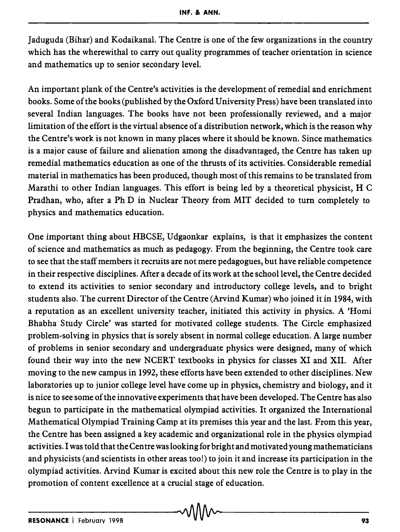Jaduguda (Bihar) and Kodaikanal. The Centre is one of the few organizations in the country which has the wherewithal to carry out quality programmes of teacher orientation in science and mathematics up to senior secondary level.

An important plank of the Centre's activities is the development of remedial and enrichment books. Some of the books (published by the Oxford University Press) have been translated into several Indian languages. The books have not been professionally reviewed, and a major limitation of the effort is the virtual absence of a distribution network, which is the reason why the Centre's work is not known in many places where it should be known. Since mathematics is a major cause of failure and alienation among the disadvantaged, the Centre has taken up remedial mathematics education as one of the thrusts of its activities. Considerable remedial material in mathematics has been produced, though most of this remains to be translated from Marathi to other Indian languages. This effort is being led by a theoretical physicist, H C Pradhan, who, after a Ph D in Nuclear Theory from MIT decided to tum completely to physics and mathematics education.

One important thing about HBCSE, U dgaonkar explains, is that it emphasizes the content of science and mathematics as much as pedagogy. From the beginning, the Centre took care to see that the staff members it recruits are not mere pedagogues, but have reliable competence in their respective disciplines. After a decade of its work at the school level, the Centre decided to extend its activities to senior secondary and introductory college levels, and to bright students also. The current Director of the Centre (Arvind Kumar) who joined it in 1984, with a reputation as an excellent university teacher, initiated this activity in physics. A 'Homi Bhabha Study Circle' was started for motivated college students. The Circle emphasized problem-solving in physics that is sorely absent in normal college education. A large number of problems in senior secondary and undergraduate physics were designed, many of which found their way into the new NCERT textbooks in physics for classes XI and XII. After moving to the new campus in 1992, these efforts have been extended to other disciplines. New laboratories up to junior college level have come up in physics, chemistry and biology, and it is nice to see some of the innovative experiments that have been developed. The Centre has also begun to participate in the mathematical olympiad activities. It organized the International Mathematical Olympiad Training Camp at its premises this year and the last. From this year, the Centre has been assigned a key academic and organizational role in the physics olympiad activities. I was told that the Centre was looking for bright and motivated young mathematicians and physicists (and scientists in other areas too!) to join it and increase its participation in the olympiad activities. Arvind Kumar is excited about this new role the Centre is to play in the promotion of content excellence at a crucial stage of education.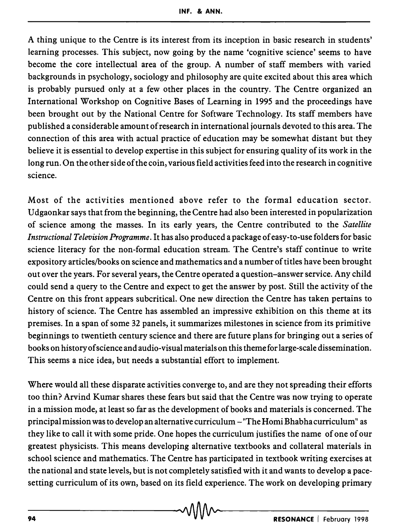A thing unique to the Centre is its interest from its inception in basic research in students' learning processes. This subject, now going by the name 'cognitive science' seems to have become the core intellectual area of the group. A number of staff members with varied backgrounds in psychology, sociology and philosophy are quite excited about this area which is probably pursued only at a few other places in the country. The Centre organized an International Workshop on Cognitive Bases of Learning in 1995 and the proceedings have been brought out by the National Centre for Software Technology. Its staff members have published a considerable amount of research in international journals devoted to this area. The connection of this area with actual practice of education may be somewhat distant but they believe it is essential to develop expertise in this subject for ensuring quality of its work in the long run. On the other side of the coin, various field activities feed into the research in cognitive science.

Most of the activities mentioned above refer to the formal education sector. U dgaonkar says that from the beginning, the Centre had also been interested in popularization of science among the masses. In its early years, the Centre contributed to the *Satellite Instructional Television Programme.* It has also produced a package of easy-to-use folders for basic science literacy for the non-formal education stream. The Centre's staff continue to write expository articles/books on science and mathematics and a number of titles have been brought out over the years. For several years, the Centre operated a question-answer service. Any child could send a query to the Centre and expect to get the answer by post. Still the activity of the Centre on this front appears subcritical. One new direction the Centre has taken pertains to history of science. The Centre has assembled an impressive exhibition on this theme at its premises. In a span of some 32 panels, it summarizes milestones in science from its primitive beginnings to twentieth century science and there are future plans for bringing out a series of books on history of science and audio-visual materials on this theme for large-scale dissemination. This seems a nice idea, but needs a substantial effort to implement.

Where would all these disparate activities converge to, and are they not spreading their efforts too thin? Arvind Kumar shares these fears but said that the Centre was now trying to operate in a mission mode, at least so far as the development of books and materials is concerned. The principal mission was to develop an alternative curriculum - "The Homi Bhabha curriculum" as they like to call it with some pride. One hopes the curriculum justifies the name of one of our greatest physicists. This means developing alternative textbooks and collateral materials in school science and mathematics. The Centre has participated in textbook writing exercises at the national and state levels, but is not completely satisfied with it and wants to develop a pacesetting curriculum of its own, based on its field experience. The work on developing primary